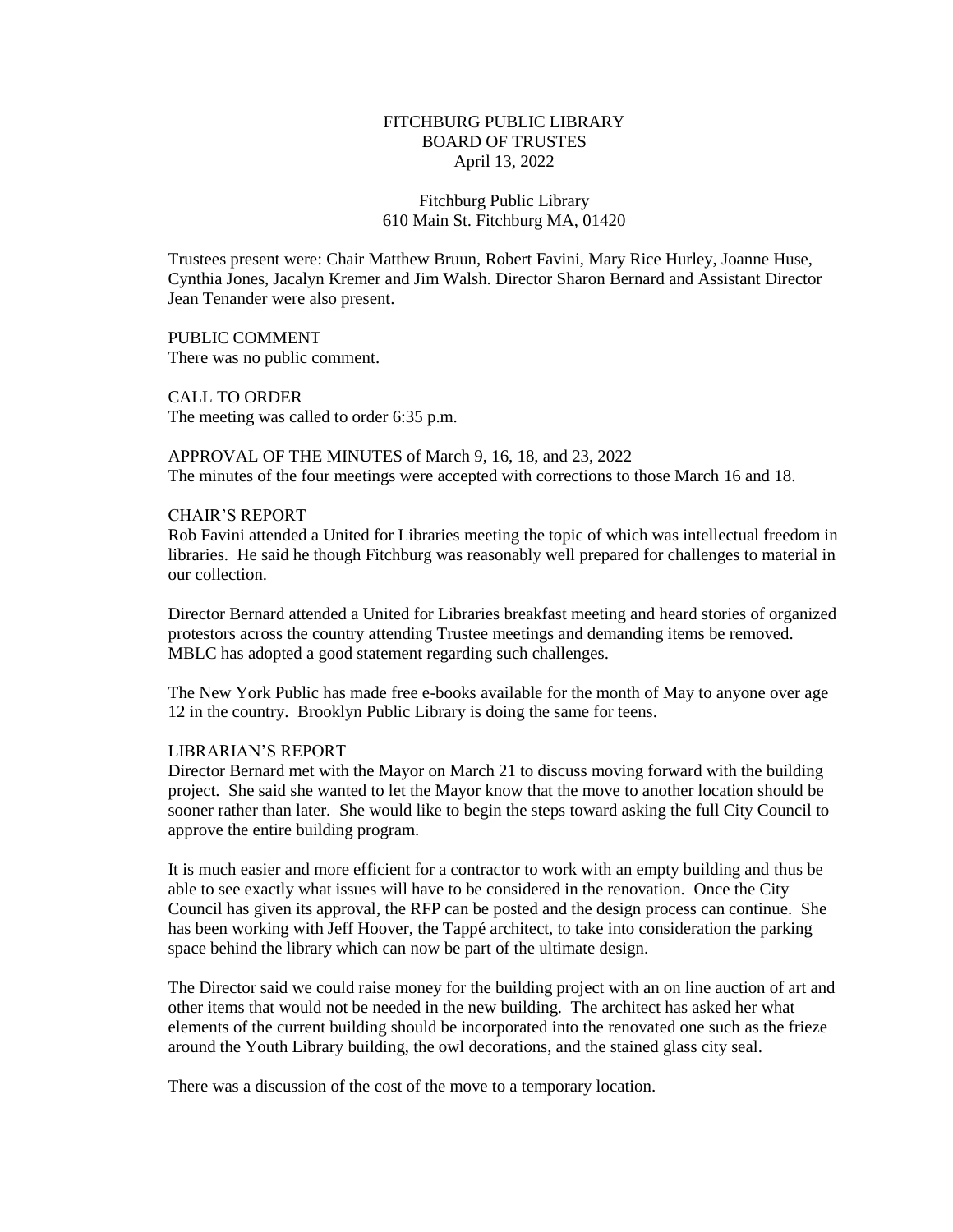# FITCHBURG PUBLIC LIBRARY BOARD OF TRUSTES April 13, 2022

# Fitchburg Public Library 610 Main St. Fitchburg MA, 01420

Trustees present were: Chair Matthew Bruun, Robert Favini, Mary Rice Hurley, Joanne Huse, Cynthia Jones, Jacalyn Kremer and Jim Walsh. Director Sharon Bernard and Assistant Director Jean Tenander were also present.

PUBLIC COMMENT There was no public comment.

CALL TO ORDER The meeting was called to order 6:35 p.m.

APPROVAL OF THE MINUTES of March 9, 16, 18, and 23, 2022 The minutes of the four meetings were accepted with corrections to those March 16 and 18.

### CHAIR'S REPORT

Rob Favini attended a United for Libraries meeting the topic of which was intellectual freedom in libraries. He said he though Fitchburg was reasonably well prepared for challenges to material in our collection.

Director Bernard attended a United for Libraries breakfast meeting and heard stories of organized protestors across the country attending Trustee meetings and demanding items be removed. MBLC has adopted a good statement regarding such challenges.

The New York Public has made free e-books available for the month of May to anyone over age 12 in the country. Brooklyn Public Library is doing the same for teens.

#### LIBRARIAN'S REPORT

Director Bernard met with the Mayor on March 21 to discuss moving forward with the building project. She said she wanted to let the Mayor know that the move to another location should be sooner rather than later. She would like to begin the steps toward asking the full City Council to approve the entire building program.

It is much easier and more efficient for a contractor to work with an empty building and thus be able to see exactly what issues will have to be considered in the renovation. Once the City Council has given its approval, the RFP can be posted and the design process can continue. She has been working with Jeff Hoover, the Tappé architect, to take into consideration the parking space behind the library which can now be part of the ultimate design.

The Director said we could raise money for the building project with an on line auction of art and other items that would not be needed in the new building. The architect has asked her what elements of the current building should be incorporated into the renovated one such as the frieze around the Youth Library building, the owl decorations, and the stained glass city seal.

There was a discussion of the cost of the move to a temporary location.